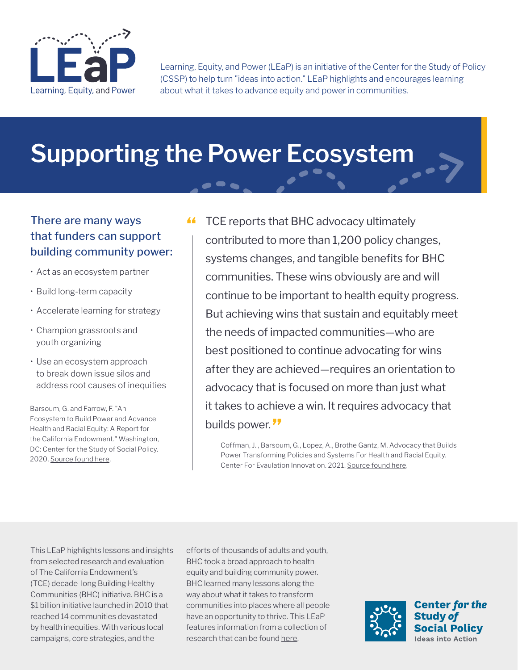

Learning, Equity, and Power (LEaP) is an initiative of the Center for the Study of Policy (CSSP) to help turn "ideas into action." LEaP highlights and encourages learning about what it takes to advance equity and power in communities.

# **Supporting the Power Ecosystem**

### There are many ways that funders can support building community power:

- Act as an ecosystem partner
- Build long-term capacity
- Accelerate learning for strategy
- Champion grassroots and youth organizing
- Use an ecosystem approach to break down issue silos and address root causes of inequities

Barsoum, G. and Farrow, F. "An Ecosystem to Build Power and Advance Health and Racial Equity: A Report for the California Endowment." Washington, DC: Center for the Study of Social Policy. 2020. [Source found here.](https://www.calendow.org/app/uploads/2021/09/An-Ecosystem-to-Build-Power-Final-Report_2021.pdf)

TCE reports that BHC advocacy ultimately contributed to more than 1,200 policy changes, systems changes, and tangible benefits for BHC communities. These wins obviously are and will continue to be important to health equity progress. But achieving wins that sustain and equitably meet the needs of impacted communities—who are best positioned to continue advocating for wins after they are achieved—requires an orientation to advocacy that is focused on more than just what it takes to achieve a win. It requires advocacy that builds power.<sup>77</sup>

Coffman, J. , Barsoum, G., Lopez, A., Brothe Gantz, M. Advocacy that Builds Power Transforming Policies and Systems For Health and Racial Equity. Center For Evaulation Innovation. 2021. [Source found here](https://www.calendow.org/app/uploads/2021/09/CEI-Advocacy-That-Builds-Power_FinalReport_2021.pdf).

This LEaP highlights lessons and insights from selected research and evaluation of The California Endowment's (TCE) decade-long Building Healthy Communities (BHC) initiative. BHC is a \$1 billion initiative launched in 2010 that reached 14 communities devastated by health inequities. With various local campaigns, core strategies, and the

efforts of thousands of adults and youth, BHC took a broad approach to health equity and building community power. BHC learned many lessons along the way about what it takes to transform communities into places where all people have an opportunity to thrive. This LEaP features information from a collection of research that can be found [here.](https://www.calendow.org/learning-and-engagement/)

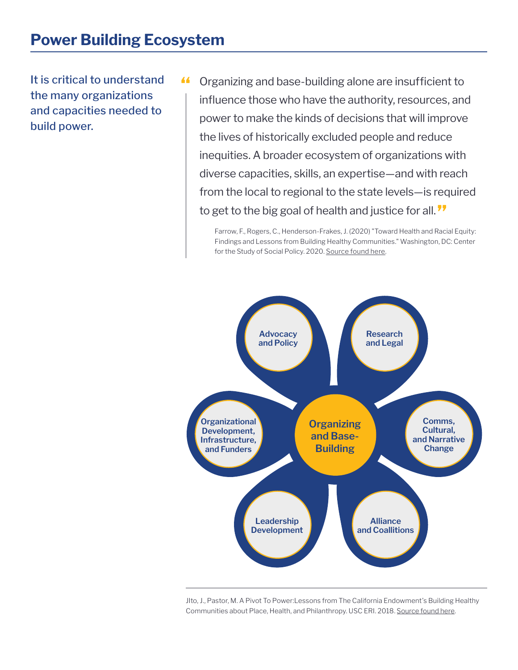It is critical to understand the many organizations and capacities needed to build power.

Organizing and base-building alone are insufficient to influence those who have the authority, resources, and power to make the kinds of decisions that will improve the lives of historically excluded people and reduce inequities. A broader ecosystem of organizations with diverse capacities, skills, an expertise—and with reach from the local to regional to the state levels—is required to get to the big goal of health and justice for all." "

> Farrow, F., Rogers, C., Henderson-Frakes, J. (2020) "Toward Health and Racial Equity: Findings and Lessons from Building Healthy Communities." Washington, DC: Center for the Study of Social Policy. 2020. [Source found here](https://www.calendow.org/app/uploads/2021/03/Toward-Health-and-Racial-Equity-FULL-REPORT-.pdf).



JIto, J., Pastor, M. A Pivot To Power:Lessons from The California Endowment's Building Healthy Communities about Place, Health, and Philanthropy. USC ERI. 2018. [Source found here.](https://www.calendow.org/app/uploads/2020/11/California-Health-and-Justice-for-All-Power-Building-Landscape_-Defining-the-Ecosystem_2019.pdf)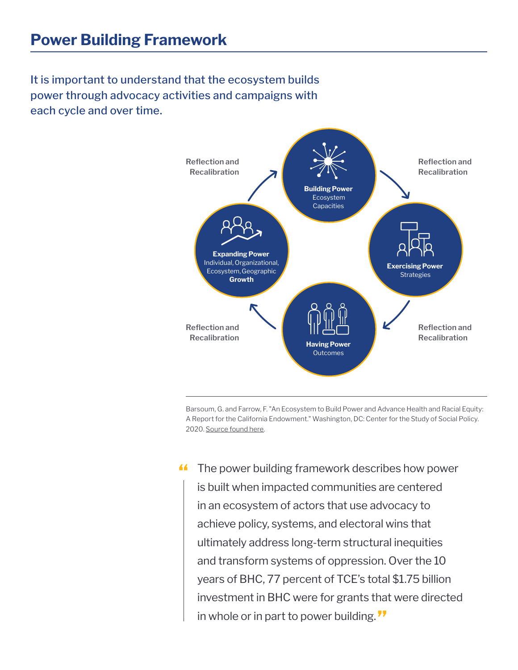It is important to understand that the ecosystem builds power through advocacy activities and campaigns with each cycle and over time.



Barsoum, G. and Farrow, F. "An Ecosystem to Build Power and Advance Health and Racial Equity: A Report for the California Endowment." Washington, DC: Center for the Study of Social Policy. 2020. [Source found here.](https://www.calendow.org/app/uploads/2021/09/An-Ecosystem-to-Build-Power-Final-Report_2021.pdf)

The power building framework describes how power is built when impacted communities are centered in an ecosystem of actors that use advocacy to achieve policy, systems, and electoral wins that ultimately address long-term structural inequities and transform systems of oppression. Over the 10 years of BHC, 77 percent of TCE's total \$1.75 billion investment in BHC were for grants that were directed in whole or in part to power building." "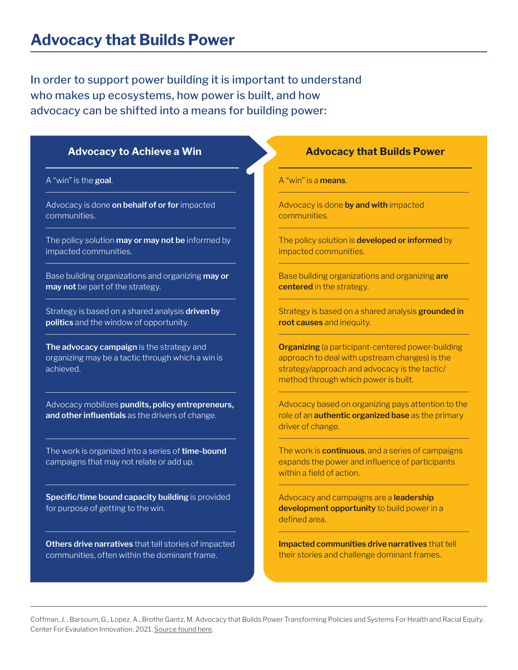## **Advocacy that Builds Power**

In order to support power building it is important to understand who makes up ecosystems, how power is built, and how advocacy can be shifted into a means for building power:

A "win" is the **goal**.

Advocacy is done **on behalf of or for** impacted communities.

The policy solution **may or may not be** informed by impacted communities.

Base building organizations and organizing **may or may not** be part of the strategy.

Strategy is based on a shared analysis **driven by politics** and the window of opportunity.

**The advocacy campaign** is the strategy and organizing may be a tactic through which a win is achieved.

Advocacy mobilizes **pundits, policy entrepreneurs, and other influentials** as the drivers of change.

The work is organized into a series of **time-bound** campaigns that may not relate or add up.

**Specific/time bound capacity building** is provided for purpose of getting to the win.

**Others drive narratives** that tell stories of impacted communities, often within the dominant frame.

#### **Advocacy to Achieve a Win Advocacy that Builds Power**

A "win" is a **means**.

Advocacy is done **by and with** impacted communities.

The policy solution is **developed or informed** by impacted communities.

Base building organizations and organizing **are centered** in the strategy.

Strategy is based on a shared analysis **grounded in root causes** and inequity.

**Organizing** (a participant-centered power-building approach to deal with upstream changes) is the strategy/approach and advocacy is the tactic/ method through which power is built.

Advocacy based on organizing pays attention to the role of an **authentic organized base** as the primary driver of change.

The work is **continuous**, and a series of campaigns expands the power and influence of participants within a field of action.

Advocacy and campaigns are a **leadership development opportunity** to build power in a defined area.

**Impacted communities drive narratives** that tell their stories and challenge dominant frames.

Coffman, J. , Barsoum, G., Lopez, A., Brothe Gantz, M. Advocacy that Builds Power Transforming Policies and Systems For Health and Racial Equity. Center For Evaulation Innovation. 2021. [Source found here.](https://www.calendow.org/app/uploads/2021/09/CEI-Advocacy-That-Builds-Power_FinalReport_2021.pdf)